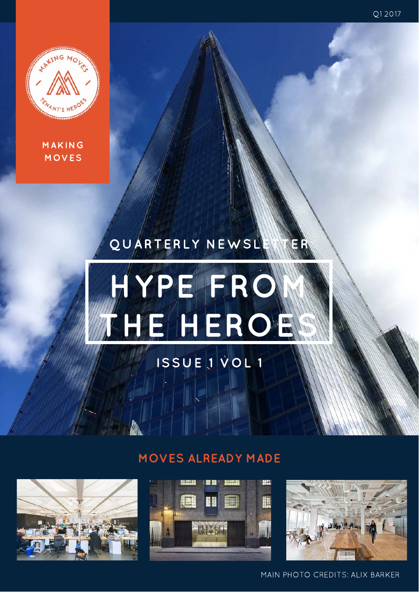Q1 2017



MAKING MOVES

# QUARTERLY NEWSL



## ISSUE 1 VOL 1

### MOVES ALREADY MADE







MAIN PHOTO CREDITS: ALIX BARKER